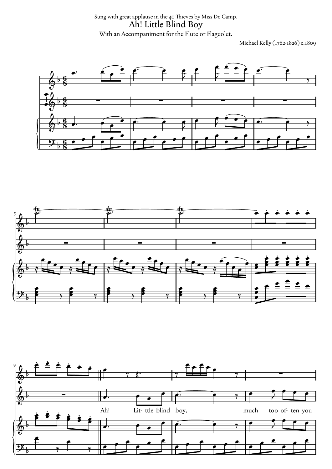Sung with great applause in the 40 Thieves by Miss De Camp. Ah! Little Blind Boy With an Accompaniment for the Flute or Flageolet.

Michael Kelly (1762-1826) c.1809





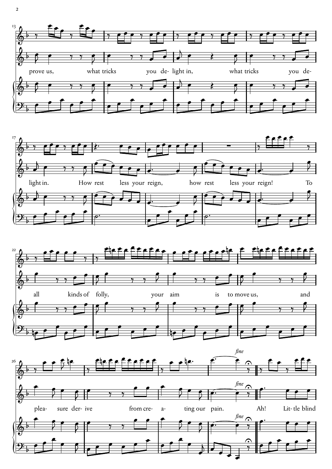





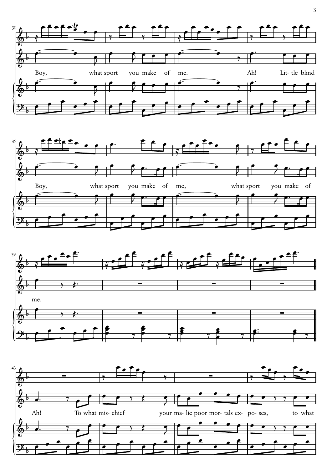